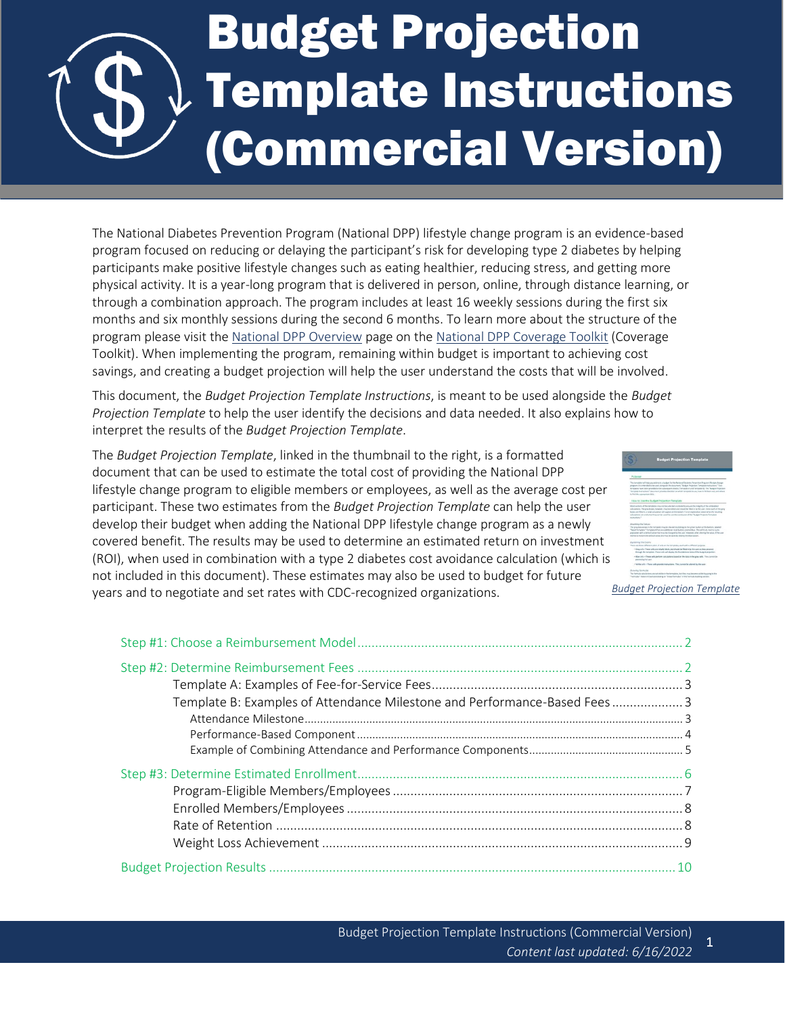

# Budget Projection Template Instructions (Commercial Version)

The National Diabetes Prevention Program (National DPP) lifestyle change program is an evidence-based program focused on reducing or delaying the participant's risk for developing type 2 diabetes by helping participants make positive lifestyle changes such as eating healthier, reducing stress, and getting more physical activity. It is a year-long program that is delivered in person, online, through distance learning, or through a combination approach. The program includes at least 16 weekly sessions during the first six months and six monthly sessions during the second 6 months. To learn more about the structure of the program please visit the [National DPP Overview](https://coveragetoolkit.org/about-national-dpp/ndpp-overview/) page on the [National DPP Coverage Toolkit](https://coveragetoolkit.org/) (Coverage Toolkit). When implementing the program, remaining within budget is important to achieving cost savings, and creating a budget projection will help the user understand the costs that will be involved.

This document, the *Budget Projection Template Instructions*, is meant to be used alongside the *Budget Projection Template* to help the user identify the decisions and data needed. It also explains how to interpret the results of the *Budget Projection Template*.

The *Budget Projection Template*, linked in the thumbnail to the right, is a formatted document that can be used to estimate the total cost of providing the National DPP lifestyle change program to eligible members or employees, as well as the average cost per participant. These two estimates from the *Budget Projection Template* can help the user develop their budget when adding the National DPP lifestyle change program as a newly covered benefit. The results may be used to determine an estimated return on investment (ROI), when used in combination with a type 2 diabetes cost avoidance calculation (which is not included in this document). These estimates may also be used to budget for future years and to negotiate and set rates with CDC-recognized organizations.



| <b>Budget Projection Template</b> |  |
|-----------------------------------|--|
|                                   |  |

| Template B: Examples of Attendance Milestone and Performance-Based Fees3 |  |
|--------------------------------------------------------------------------|--|
|                                                                          |  |
|                                                                          |  |
|                                                                          |  |
|                                                                          |  |
|                                                                          |  |
|                                                                          |  |
|                                                                          |  |
|                                                                          |  |
|                                                                          |  |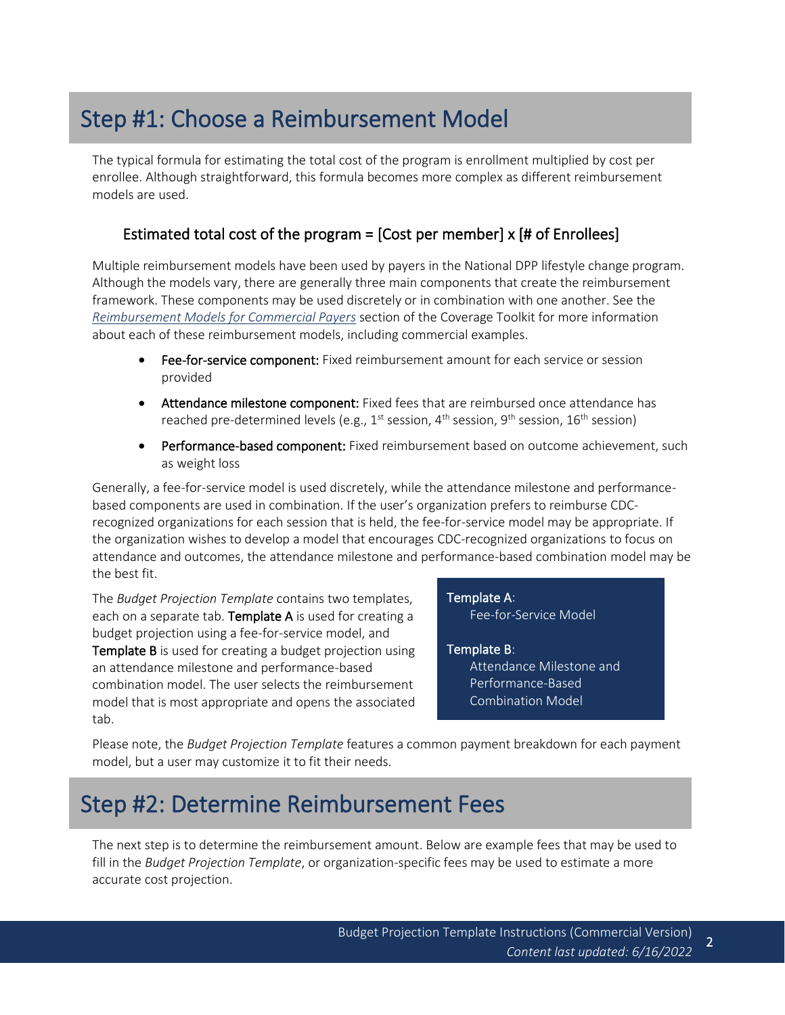# <span id="page-1-0"></span>Step #1: Choose a Reimbursement Model

The typical formula for estimating the total cost of the program is enrollment multiplied by cost per enrollee. Although straightforward, this formula becomes more complex as different reimbursement models are used.

# Estimated total cost of the program = [Cost per member] x [# of Enrollees]

Multiple reimbursement models have been used by payers in the National DPP lifestyle change program. Although the models vary, there are generally three main components that create the reimbursement framework. These components may be used discretely or in combination with one another. See the *[Reimbursement Models for Commercial Payers](https://coveragetoolkit.org/commercial-plans/commercial-plans-contracting/commercial-plans-reimbursement/)* section of the Coverage Toolkit for more information about each of these reimbursement models, including commercial examples.

- Fee-for-service component: Fixed reimbursement amount for each service or session provided
- Attendance milestone component: Fixed fees that are reimbursed once attendance has reached pre-determined levels (e.g.,  $1^{st}$  session,  $4^{th}$  session,  $9^{th}$  session,  $16^{th}$  session)
- Performance-based component: Fixed reimbursement based on outcome achievement, such as weight loss

Generally, a fee-for-service model is used discretely, while the attendance milestone and performancebased components are used in combination. If the user's organization prefers to reimburse CDCrecognized organizations for each session that is held, the fee-for-service model may be appropriate. If the organization wishes to develop a model that encourages CDC-recognized organizations to focus on attendance and outcomes, the attendance milestone and performance-based combination model may be the best fit.

The *Budget Projection Template* contains two templates, each on a separate tab. Template A is used for creating a budget projection using a fee-for-service model, and Template B is used for creating a budget projection using an attendance milestone and performance-based combination model. The user selects the reimbursement model that is most appropriate and opens the associated tab.

[Template A:](#page-2-0) 

[Fee-for-Service Model](#page-2-0)

[Template B:](#page-2-1)  [Attendance Milestone and](#page-2-1)  [Performance-Based](#page-2-1)  [Combination Model](#page-2-1)

Please note, the *Budget Projection Template* features a common payment breakdown for each payment model, but a user may customize it to fit their needs.

# <span id="page-1-1"></span>Step #2: Determine Reimbursement Fees

The next step is to determine the reimbursement amount. Below are example fees that may be used to fill in the *Budget Projection Template*, or organization-specific fees may be used to estimate a more accurate cost projection.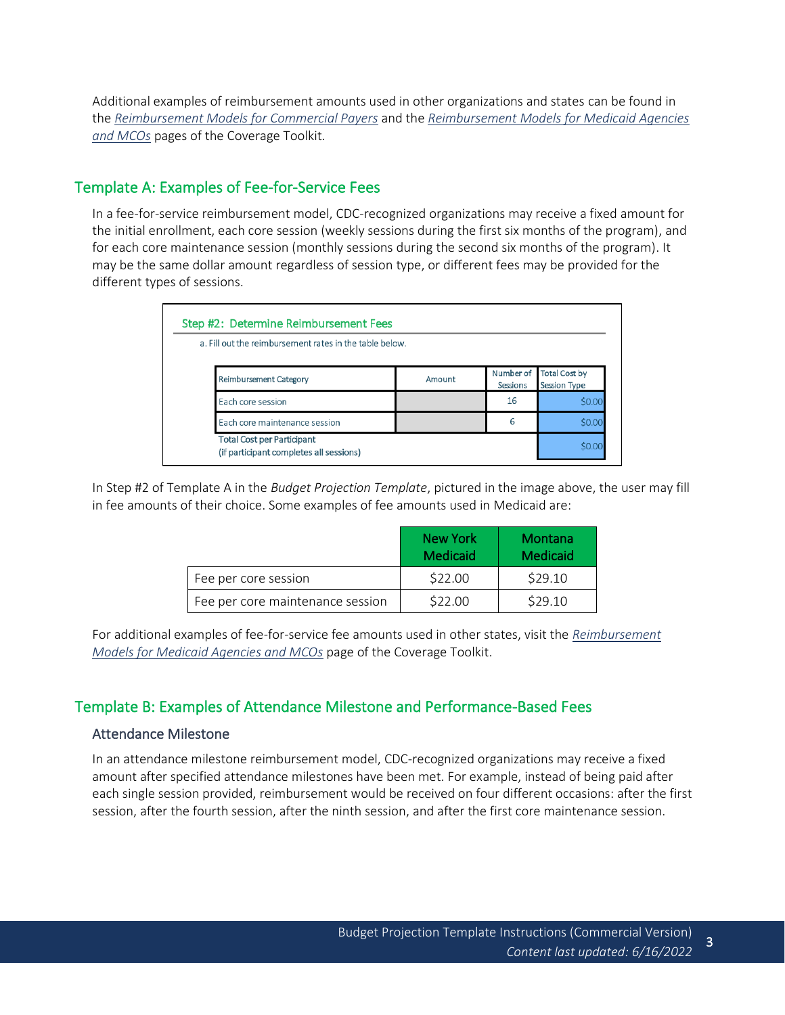<span id="page-2-0"></span>Additional examples of reimbursement amounts used in other organizations and states can be found in the *[Reimbursement Models for Commercial Payers](https://coveragetoolkit.org/commercial-plans/commercial-plans-contracting/commercial-plans-reimbursement/)* and the *[Reimbursement Models for Medicaid Agencies](https://coveragetoolkit.org/medicaid-mco-reimbursement/)  [and MCOs](https://coveragetoolkit.org/medicaid-mco-reimbursement/)* pages of the Coverage Toolkit.

## Template A: Examples of Fee-for-Service Fees

In a fee-for-service reimbursement model, CDC-recognized organizations may receive a fixed amount for the initial enrollment, each core session (weekly sessions during the first six months of the program), and for each core maintenance session (monthly sessions during the second six months of the program). It may be the same dollar amount regardless of session type, or different fees may be provided for the different types of sessions.

| a. Fill out the reimbursement rates in the table below.                      |        |                              |                                             |
|------------------------------------------------------------------------------|--------|------------------------------|---------------------------------------------|
| Reimbursement Category                                                       | Amount | Number of<br><b>Sessions</b> | <b>Total Cost by</b><br><b>Session Type</b> |
| Each core session                                                            |        | 16                           | \$0.00                                      |
| Each core maintenance session                                                |        | 6                            | \$0.00                                      |
| <b>Total Cost per Participant</b><br>(if participant completes all sessions) |        |                              | \$0.00                                      |

In Step #2 of Template A in the *Budget Projection Template*, pictured in the image above, the user may fill in fee amounts of their choice. Some examples of fee amounts used in Medicaid are:

|                                  | New York<br><b>Medicaid</b> | Montana<br>Medicaid |
|----------------------------------|-----------------------------|---------------------|
| Fee per core session             | \$22.00                     | \$29.10             |
| Fee per core maintenance session | \$22.00                     | \$29.10             |

<span id="page-2-1"></span>For additional examples of fee-for-service fee amounts used in other states, visit the *[Reimbursement](https://coveragetoolkit.org/medicaid-mco-reimbursement/)  [Models for Medicaid Agencies and MCOs](https://coveragetoolkit.org/medicaid-mco-reimbursement/)* page of the Coverage Toolkit.

### Template B: Examples of Attendance Milestone and Performance-Based Fees

### <span id="page-2-2"></span>Attendance Milestone

In an attendance milestone reimbursement model, CDC-recognized organizations may receive a fixed amount after specified attendance milestones have been met. For example, instead of being paid after each single session provided, reimbursement would be received on four different occasions: after the first session, after the fourth session, after the ninth session, and after the first core maintenance session.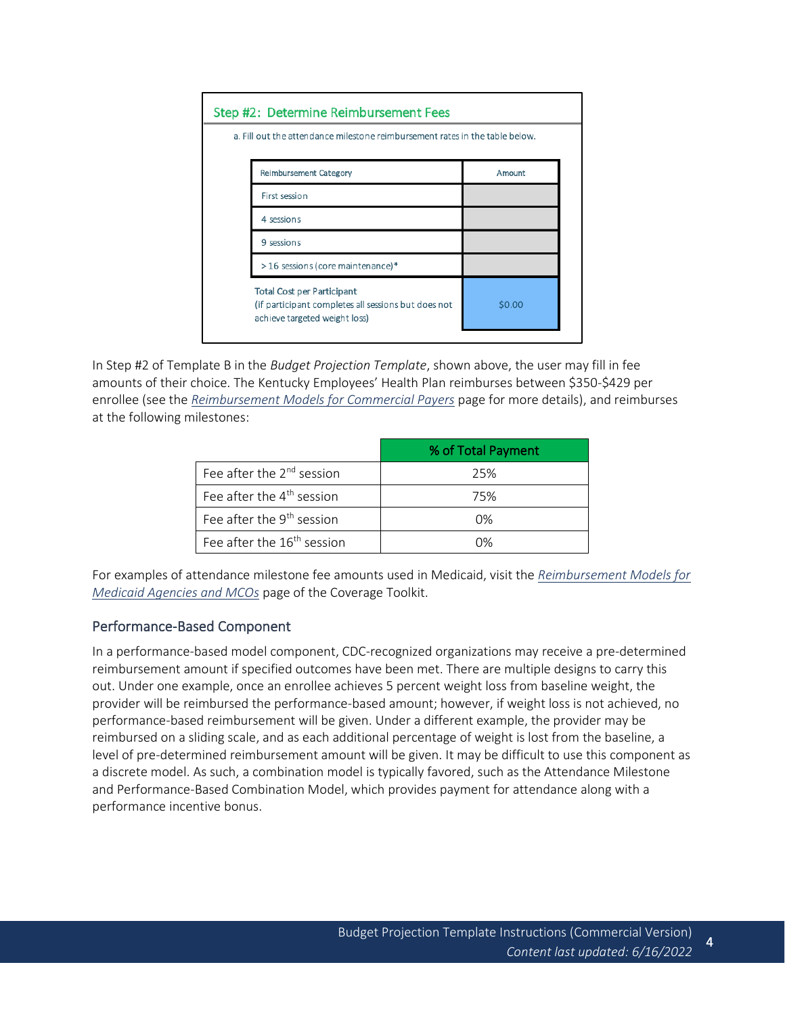| Step #2: Determine Reimbursement Fees                                        |                                                                                                                           |        |  |  |
|------------------------------------------------------------------------------|---------------------------------------------------------------------------------------------------------------------------|--------|--|--|
| a. Fill out the attendance milestone reimbursement rates in the table below. |                                                                                                                           |        |  |  |
|                                                                              | <b>Reimbursement Category</b>                                                                                             | Amount |  |  |
|                                                                              | First session                                                                                                             |        |  |  |
|                                                                              | 4 sessions                                                                                                                |        |  |  |
|                                                                              | 9 sessions                                                                                                                |        |  |  |
|                                                                              | >16 sessions (core maintenance)*                                                                                          |        |  |  |
|                                                                              | <b>Total Cost per Participant</b><br>(if participant completes all sessions but does not<br>achieve targeted weight loss) | \$0.00 |  |  |

In Step #2 of Template B in the *Budget Projection Template*, shown above, the user may fill in fee amounts of their choice. The Kentucky Employees' Health Plan reimburses between \$350-\$429 per enrollee (see the *[Reimbursement Models for Commercial Payers](https://coveragetoolkit.org/commercial-plans/commercial-plans-contracting/commercial-plans-reimbursement/)* page for more details), and reimburses at the following milestones:

|                                        | % of Total Payment |
|----------------------------------------|--------------------|
| Fee after the $2^{nd}$ session         | 25%                |
| Fee after the 4 <sup>th</sup> session  | 75%                |
| Fee after the 9 <sup>th</sup> session  | $0\%$              |
| Fee after the 16 <sup>th</sup> session | በ%                 |

<span id="page-3-0"></span>For examples of attendance milestone fee amounts used in Medicaid, visit the *[Reimbursement Models for](https://coveragetoolkit.org/medicaid-mco-reimbursement/)  [Medicaid Agencies and MCOs](https://coveragetoolkit.org/medicaid-mco-reimbursement/)* page of the Coverage Toolkit.

### Performance-Based Component

In a performance-based model component, CDC-recognized organizations may receive a pre-determined reimbursement amount if specified outcomes have been met. There are multiple designs to carry this out. Under one example, once an enrollee achieves 5 percent weight loss from baseline weight, the provider will be reimbursed the performance-based amount; however, if weight loss is not achieved, no performance-based reimbursement will be given. Under a different example, the provider may be reimbursed on a sliding scale, and as each additional percentage of weight is lost from the baseline, a level of pre-determined reimbursement amount will be given. It may be difficult to use this component as a discrete model. As such, a combination model is typically favored, such as the Attendance Milestone and Performance-Based Combination Model, which provides payment for attendance along with a performance incentive bonus.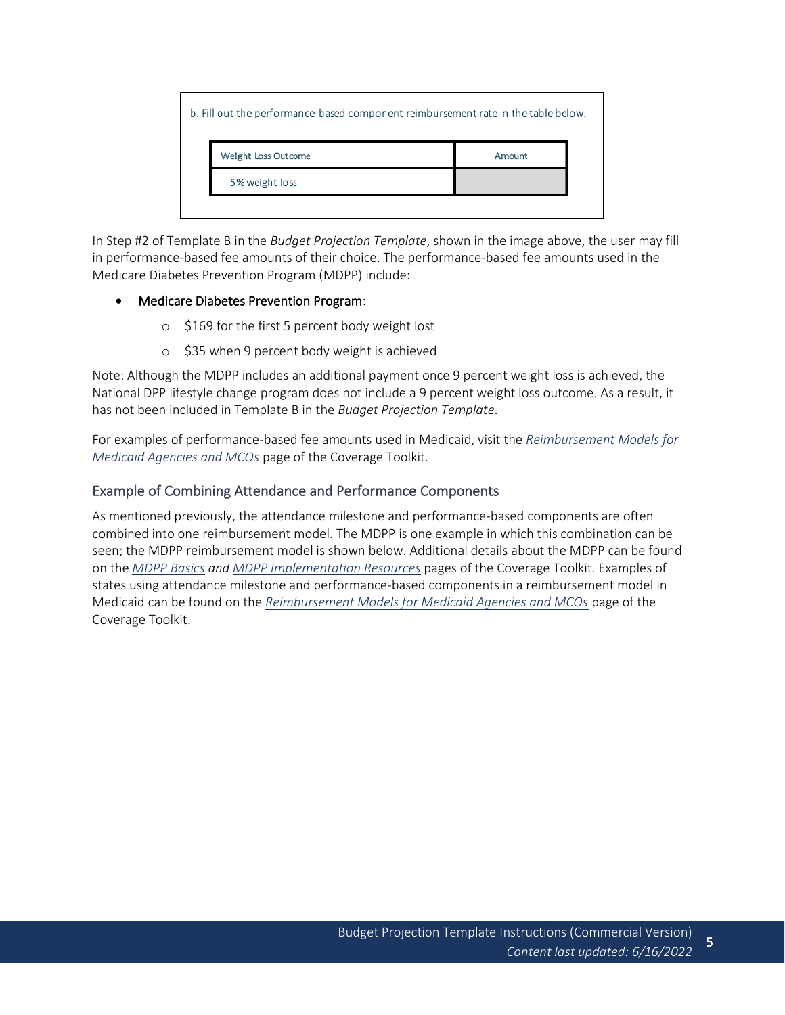| b. Fill out the performance-based component reimbursement rate in the table below. |                     |        |  |
|------------------------------------------------------------------------------------|---------------------|--------|--|
|                                                                                    | Weight Loss Outcome | Amount |  |
|                                                                                    | 5% weight loss      |        |  |
|                                                                                    |                     |        |  |

In Step #2 of Template B in the *Budget Projection Template*, shown in the image above, the user may fill in performance-based fee amounts of their choice. The performance-based fee amounts used in the Medicare Diabetes Prevention Program (MDPP) include:

#### • Medicare Diabetes Prevention Program:

- o \$169 for the first 5 percent body weight lost
- o \$35 when 9 percent body weight is achieved

Note: Although the MDPP includes an additional payment once 9 percent weight loss is achieved, the National DPP lifestyle change program does not include a 9 percent weight loss outcome. As a result, it has not been included in Template B in the *Budget Projection Template*.

<span id="page-4-0"></span>For examples of performance-based fee amounts used in Medicaid, visit the *[Reimbursement Models for](https://coveragetoolkit.org/medicaid-mco-reimbursement/)  [Medicaid Agencies and MCOs](https://coveragetoolkit.org/medicaid-mco-reimbursement/)* page of the Coverage Toolkit.

### Example of Combining Attendance and Performance Components

As mentioned previously, the attendance milestone and performance-based components are often combined into one reimbursement model. The MDPP is one example in which this combination can be seen; the MDPP reimbursement model is shown below. Additional details about the MDPP can be found on the *[MDPP](https://coveragetoolkit.org/mdpp-basics/) Basics an[d MDPP Implementation Resources](https://coveragetoolkit.org/mdpp-implementation-resources/)* pages of the Coverage Toolkit. Examples of states using attendance milestone and performance-based components in a reimbursement model in Medicaid can be found on the *[Reimbursement Models for Medicaid Agencies and MCOs](https://coveragetoolkit.org/medicaid-mco-reimbursement/)* page of the Coverage Toolkit.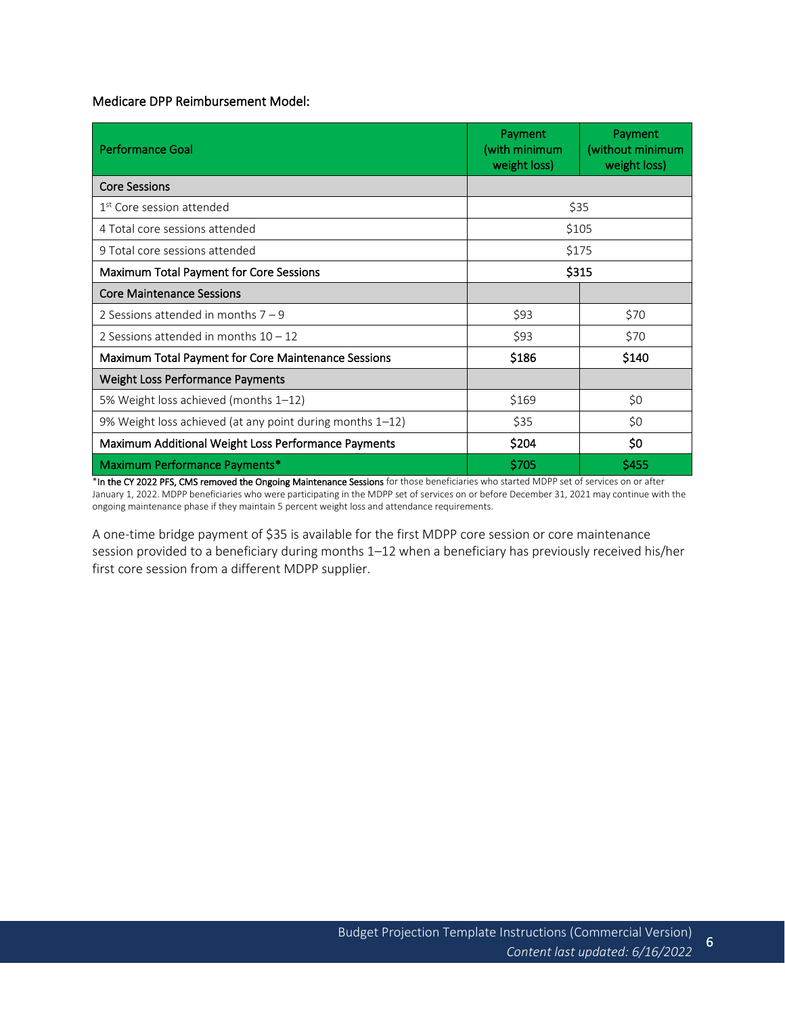Medicare DPP Reimbursement Model:

| <b>Performance Goal</b>                                    | Payment<br>(with minimum<br>weight loss) | Payment<br>(without minimum<br>weight loss) |
|------------------------------------------------------------|------------------------------------------|---------------------------------------------|
| <b>Core Sessions</b>                                       |                                          |                                             |
| 1 <sup>st</sup> Core session attended                      | \$35                                     |                                             |
| 4 Total core sessions attended                             |                                          | \$105                                       |
| 9 Total core sessions attended                             |                                          | \$175                                       |
| Maximum Total Payment for Core Sessions                    |                                          | \$315                                       |
| <b>Core Maintenance Sessions</b>                           |                                          |                                             |
| 2 Sessions attended in months $7 - 9$                      | \$93                                     | \$70                                        |
| 2 Sessions attended in months $10 - 12$                    | \$93                                     | \$70                                        |
| <b>Maximum Total Payment for Core Maintenance Sessions</b> | \$186                                    | \$140                                       |
| <b>Weight Loss Performance Payments</b>                    |                                          |                                             |
| 5% Weight loss achieved (months 1–12)                      | \$169                                    | \$0                                         |
| 9% Weight loss achieved (at any point during months 1-12)  | \$35                                     | \$0                                         |
| Maximum Additional Weight Loss Performance Payments        | \$204                                    | \$0                                         |
| Maximum Performance Payments*                              | \$705                                    | \$455                                       |

\*In the CY 2022 PFS, CMS removed the Ongoing Maintenance Sessions for those beneficiaries who started MDPP set of services on or after January 1, 2022. MDPP beneficiaries who were participating in the MDPP set of services on or before December 31, 2021 may continue with the ongoing maintenance phase if they maintain 5 percent weight loss and attendance requirements.

A one-time bridge payment of \$35 is available for the first MDPP core session or core maintenance session provided to a beneficiary during months 1–12 when a beneficiary has previously received his/her first core session from a different MDPP supplier.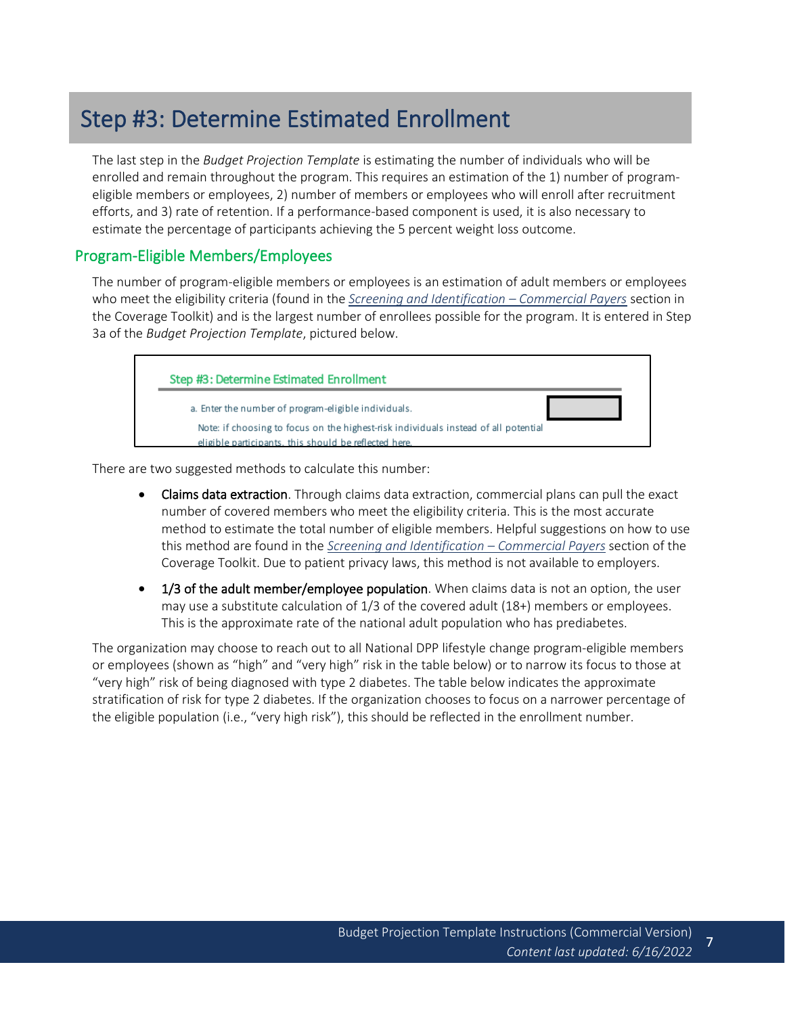# <span id="page-6-0"></span>Step #3: Determine Estimated Enrollment

The last step in the *Budget Projection Template* is estimating the number of individuals who will be enrolled and remain throughout the program. This requires an estimation of the 1) number of programeligible members or employees, 2) number of members or employees who will enroll after recruitment efforts, and 3) rate of retention. If a performance-based component is used, it is also necessary to estimate the percentage of participants achieving the 5 percent weight loss outcome.

### Program-Eligible Members/Employees

The number of program-eligible members or employees is an estimation of adult members or employees who meet the eligibility criteria (found in the *[Screening and Identification](https://coveragetoolkit.org/commercial-plans/commercial-plans-delivery/commercial-plans-identification/) – Commercial Payers* section in the Coverage Toolkit) and is the largest number of enrollees possible for the program. It is entered in Step 3a of the *Budget Projection Template*, pictured below.

<span id="page-6-1"></span>

There are two suggested methods to calculate this number:

- Claims data extraction. Through claims data extraction, commercial plans can pull the exact number of covered members who meet the eligibility criteria. This is the most accurate method to estimate the total number of eligible members. Helpful suggestions on how to use this method are found in the *[Screening and Identification](https://coveragetoolkit.org/commercial-plans/commercial-plans-delivery/commercial-plans-identification/) – Commercial Payers* section of the Coverage Toolkit. Due to patient privacy laws, this method is not available to employers.
- 1/3 of the adult member/employee population. When claims data is not an option, the user may use a substitute calculation of 1/3 of the covered adult (18+) members or employees. This is the approximate rate of the national adult population who has prediabetes.

The organization may choose to reach out to all National DPP lifestyle change program-eligible members or employees (shown as "high" and "very high" risk in the table below) or to narrow its focus to those at "very high" risk of being diagnosed with type 2 diabetes. The table below indicates the approximate stratification of risk for type 2 diabetes. If the organization chooses to focus on a narrower percentage of the eligible population (i.e., "very high risk"), this should be reflected in the enrollment number.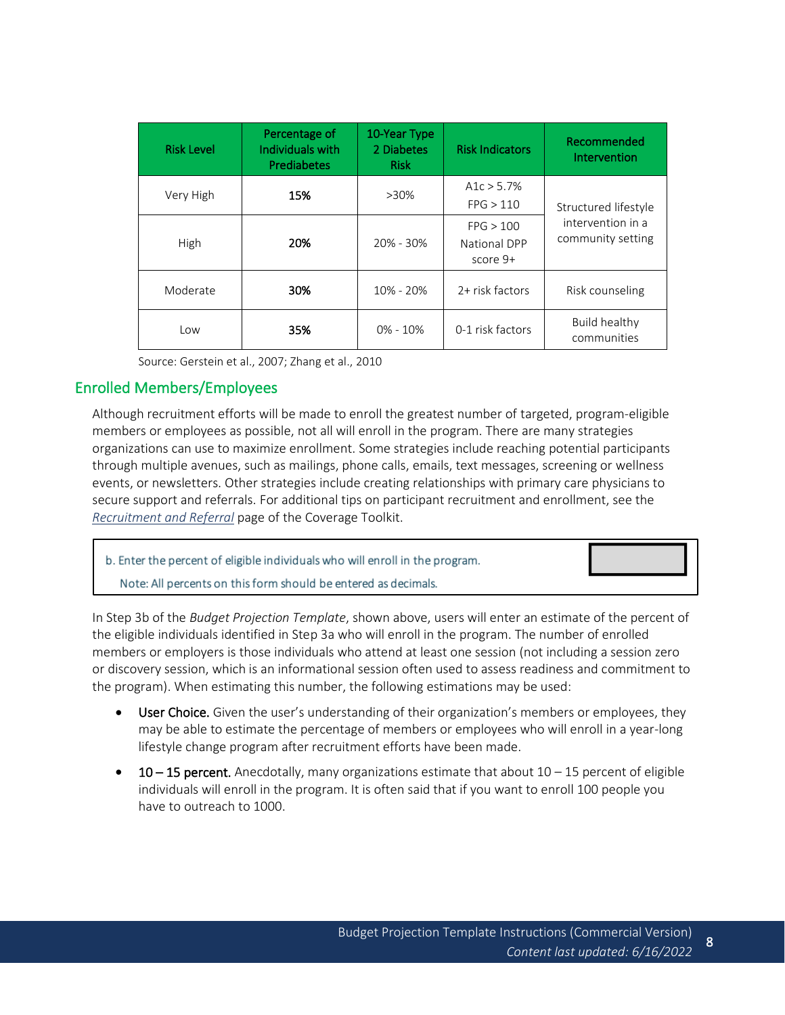| <b>Risk Level</b> | Percentage of<br>Individuals with<br>Prediabetes | 10-Year Type<br>2 Diabetes<br><b>Risk</b> | <b>Risk Indicators</b>                | Recommended<br>Intervention            |
|-------------------|--------------------------------------------------|-------------------------------------------|---------------------------------------|----------------------------------------|
| Very High         | 15%                                              | $>30\%$                                   | A1c $> 5.7\%$<br>FPG > 110            | Structured lifestyle                   |
| High              | 20%                                              | 20% - 30%                                 | FPG > 100<br>National DPP<br>score 9+ | intervention in a<br>community setting |
| Moderate          | 30%                                              | $10\% - 20\%$                             | 2+ risk factors                       | Risk counseling                        |
| Low               | 35%                                              | $0\% - 10\%$                              | 0-1 risk factors                      | Build healthy<br>communities           |

<span id="page-7-0"></span>Source: Gerstein et al., 2007; Zhang et al., 2010

### Enrolled Members/Employees

Although recruitment efforts will be made to enroll the greatest number of targeted, program-eligible members or employees as possible, not all will enroll in the program. There are many strategies organizations can use to maximize enrollment. Some strategies include reaching potential participants through multiple avenues, such as mailings, phone calls, emails, text messages, screening or wellness events, or newsletters. Other strategies include creating relationships with primary care physicians to secure support and referrals. For additional tips on participant recruitment and enrollment, see the *[Recruitment and Referral](https://coveragetoolkit.org/recruitment-referral-for-the-national-dpp-lifestyle-change-program/)* page of the Coverage Toolkit.

| b. Enter the percent of eligible individuals who will enroll in the program. |  |
|------------------------------------------------------------------------------|--|
| Note: All percents on this form should be entered as decimals.               |  |

In Step 3b of the *Budget Projection Template*, shown above, users will enter an estimate of the percent of the eligible individuals identified in Step 3a who will enroll in the program. The number of enrolled members or employers is those individuals who attend at least one session (not including a session zero or discovery session, which is an informational session often used to assess readiness and commitment to the program). When estimating this number, the following estimations may be used:

- User Choice. Given the user's understanding of their organization's members or employees, they may be able to estimate the percentage of members or employees who will enroll in a year-long lifestyle change program after recruitment efforts have been made.
- **10 15 percent.** Anecdotally, many organizations estimate that about  $10 15$  percent of eligible individuals will enroll in the program. It is often said that if you want to enroll 100 people you have to outreach to 1000.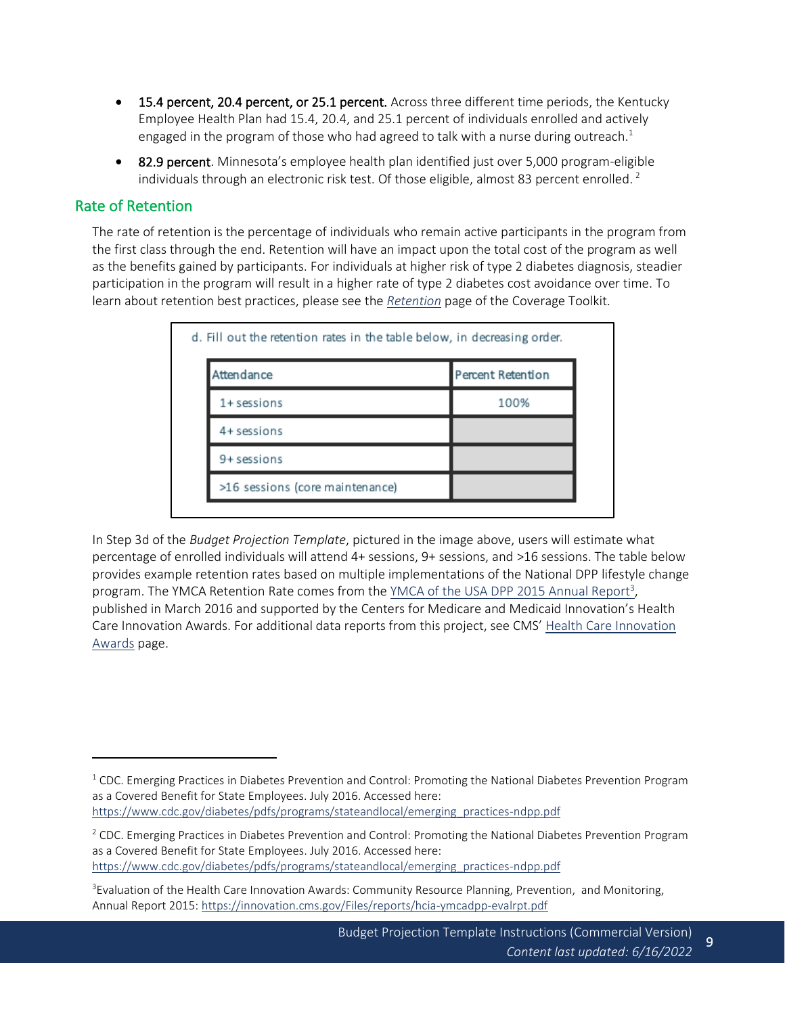- 15.4 percent, 20.4 percent, or 25.1 percent. Across three different time periods, the Kentucky Employee Health Plan had 15.4, 20.4, and 25.1 percent of individuals enrolled and actively engaged in the program of those who had agreed to talk with a nurse during outreach.<sup>1</sup>
- 82.9 percent. Minnesota's employee health plan identified just over 5,000 program-eligible individuals through an electronic risk test. Of those eligible, almost 83 percent enrolled.<sup>2</sup>

### Rate of Retention

The rate of retention is the percentage of individuals who remain active participants in the program from the first class through the end. Retention will have an impact upon the total cost of the program as well as the benefits gained by participants. For individuals at higher risk of type 2 diabetes diagnosis, steadier participation in the program will result in a higher rate of type 2 diabetes cost avoidance over time. To learn about retention best practices, please see the *[Retention](https://coveragetoolkit.org/medicaid-agencies/medicaid-agencies-delivery/medicaid-agencies-retention/)* page of the Coverage Toolkit.

<span id="page-8-0"></span>

| Attendance                      | Percent Retention |
|---------------------------------|-------------------|
| $1+$ sessions                   | 100%              |
| 4+ sessions                     |                   |
| 9+ sessions                     |                   |
| >16 sessions (core maintenance) |                   |

In Step 3d of the *Budget Projection Template*, pictured in the image above, users will estimate what percentage of enrolled individuals will attend 4+ sessions, 9+ sessions, and >16 sessions. The table below provides example retention rates based on multiple implementations of the National DPP lifestyle change program. The YMCA Retention Rate comes from th[e YMCA of the USA DPP 2015 Annual Report](https://innovation.cms.gov/Files/reports/hcia-ymcadpp-evalrpt.pdf)<sup>3</sup>, published in March 2016 and supported by the Centers for Medicare and Medicaid Innovation's Health Care Innovation Awards. For additional data reports from this project, see CMS' [Health Care Innovation](https://innovation.cms.gov/innovation-models/health-care-innovation-awards#:~:text=The%20Health%20Care%20Innovation%20Awards,those%20with%20the%20highest%20health)  [Awards](https://innovation.cms.gov/innovation-models/health-care-innovation-awards#:~:text=The%20Health%20Care%20Innovation%20Awards,those%20with%20the%20highest%20health) page.

 $1$  CDC. Emerging Practices in Diabetes Prevention and Control: Promoting the National Diabetes Prevention Program as a Covered Benefit for State Employees. July 2016. Accessed here: [https://www.cdc.gov/diabetes/pdfs/programs/stateandlocal/emerging\\_practices-ndpp.pdf](https://www.cdc.gov/diabetes/pdfs/programs/stateandlocal/emerging_practices-ndpp.pdf)

 $2$  CDC. Emerging Practices in Diabetes Prevention and Control: Promoting the National Diabetes Prevention Program as a Covered Benefit for State Employees. July 2016. Accessed here: [https://www.cdc.gov/diabetes/pdfs/programs/stateandlocal/emerging\\_practices-ndpp.pdf](https://www.cdc.gov/diabetes/pdfs/programs/stateandlocal/emerging_practices-ndpp.pdf)

<sup>&</sup>lt;sup>3</sup>Evaluation of the Health Care Innovation Awards: Community Resource Planning, Prevention, and Monitoring, Annual Report 2015:<https://innovation.cms.gov/Files/reports/hcia-ymcadpp-evalrpt.pdf>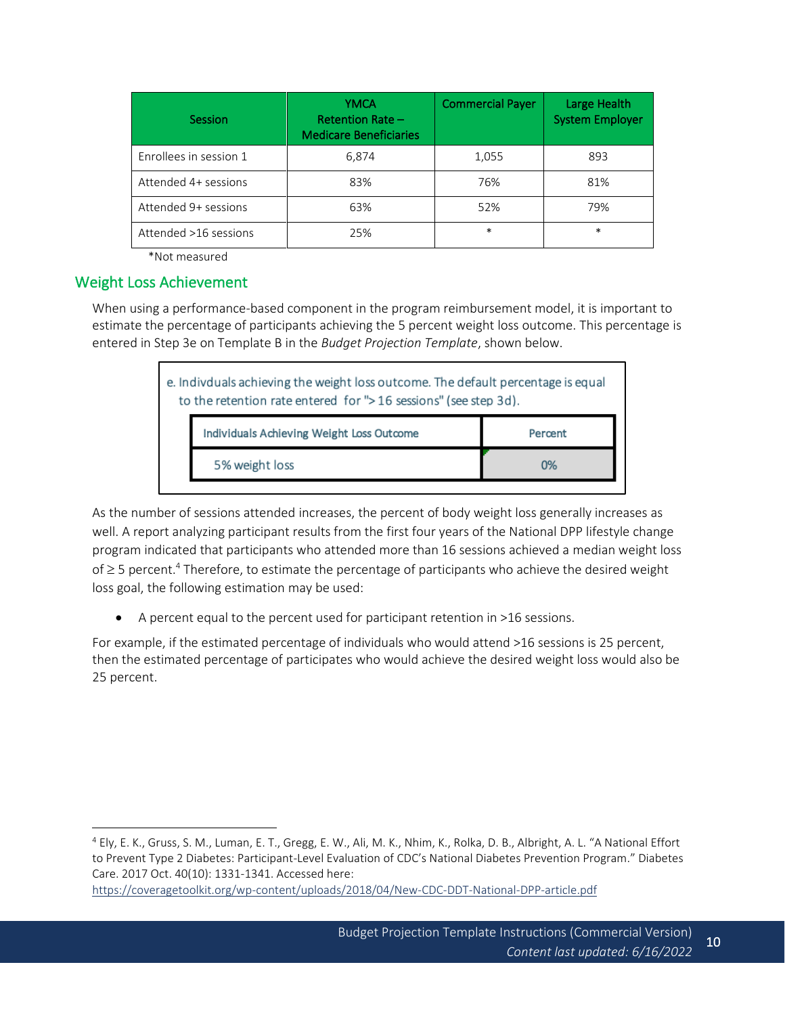| Session                | YMCA<br><b>Retention Rate -</b><br><b>Medicare Beneficiaries</b> | <b>Commercial Payer</b> | Large Health<br><b>System Employer</b> |
|------------------------|------------------------------------------------------------------|-------------------------|----------------------------------------|
| Enrollees in session 1 | 6,874                                                            | 1,055                   | 893                                    |
| Attended 4+ sessions   | 83%                                                              | 76%                     | 81%                                    |
| Attended 9+ sessions   | 63%                                                              | 52%                     | 79%                                    |
| Attended >16 sessions  | 25%                                                              | $\ast$                  | $\ast$                                 |

<span id="page-9-0"></span>\*Not measured

### Weight Loss Achievement

When using a performance-based component in the program reimbursement model, it is important to estimate the percentage of participants achieving the 5 percent weight loss outcome. This percentage is entered in Step 3e on Template B in the *Budget Projection Template*, shown below.

| e. Indivduals achieving the weight loss outcome. The default percentage is equal<br>to the retention rate entered for ">16 sessions" (see step 3d). |         |  |
|-----------------------------------------------------------------------------------------------------------------------------------------------------|---------|--|
| Individuals Achieving Weight Loss Outcome                                                                                                           | Percent |  |
| 5% weight loss                                                                                                                                      | 0%      |  |
|                                                                                                                                                     |         |  |

As the number of sessions attended increases, the percent of body weight loss generally increases as well. A report analyzing participant results from the first four years of the National DPP lifestyle change program indicated that participants who attended more than 16 sessions achieved a median weight loss of  $\geq$  5 percent.<sup>4</sup> Therefore, to estimate the percentage of participants who achieve the desired weight loss goal, the following estimation may be used:

• A percent equal to the percent used for participant retention in >16 sessions.

For example, if the estimated percentage of individuals who would attend >16 sessions is 25 percent, then the estimated percentage of participates who would achieve the desired weight loss would also be 25 percent.

<sup>4</sup> Ely, E. K., Gruss, S. M., Luman, E. T., Gregg, E. W., Ali, M. K., Nhim, K., Rolka, D. B., Albright, A. L. "A National Effort to Prevent Type 2 Diabetes: Participant-Level Evaluation of CDC's National Diabetes Prevention Program." Diabetes Care. 2017 Oct. 40(10): 1331-1341. Accessed here:

<https://coveragetoolkit.org/wp-content/uploads/2018/04/New-CDC-DDT-National-DPP-article.pdf>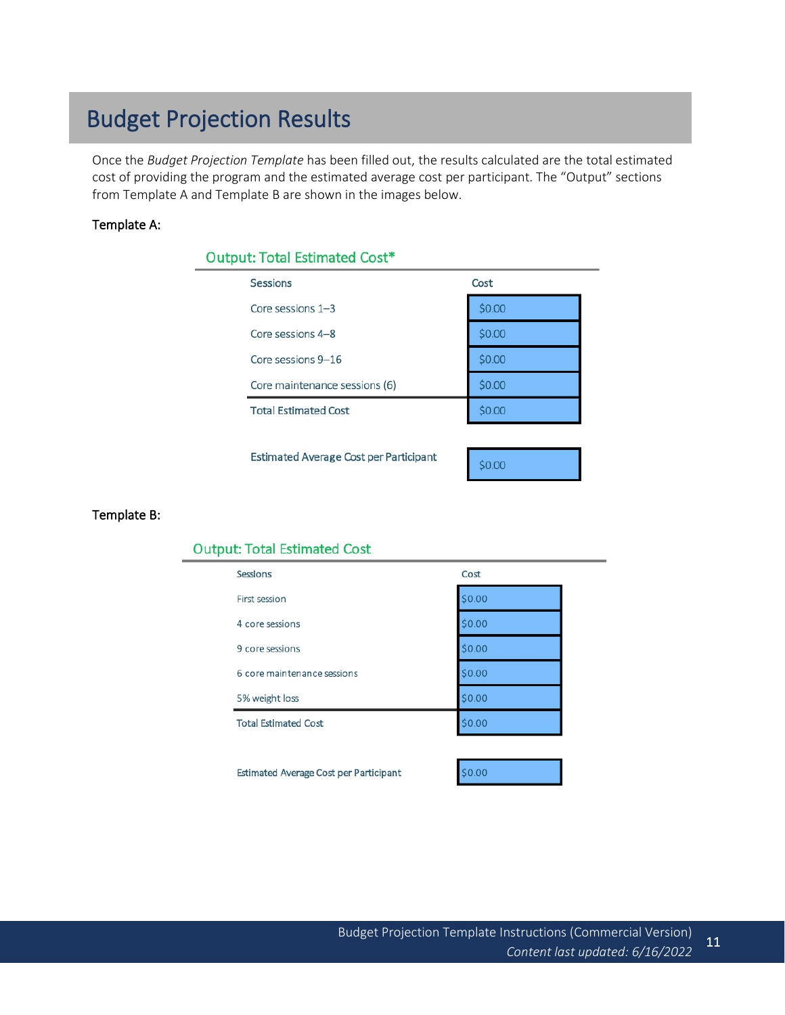# Budget Projection Results

Once the *Budget Projection Template* has been filled out, the results calculated are the total estimated cost of providing the program and the estimated average cost per participant. The "Output" sections from Template A and Template B are shown in the images below.

### Template A:

| <b>Output: Total Estimated Cost*</b>          |        |  |
|-----------------------------------------------|--------|--|
| <b>Sessions</b>                               | Cost   |  |
| Core sessions $1-3$                           | \$0.00 |  |
| Core sessions 4-8                             | \$0.00 |  |
| Core sessions 9-16                            | \$0.00 |  |
| Core maintenance sessions (6)                 | \$0.00 |  |
| <b>Total Estimated Cost</b>                   | \$0.00 |  |
|                                               |        |  |
| <b>Estimated Average Cost per Participant</b> | \$0.00 |  |
|                                               |        |  |

#### Template B:

#### **Output: Total Estimated Cost**

| <b>Sessions</b>             | Cost   |
|-----------------------------|--------|
| First session               | \$0.00 |
| 4 core sessions             | \$0.00 |
| 9 core sessions             | \$0.00 |
| 6 core maintenance sessions | \$0.00 |
| 5% weight loss              | \$0.00 |
| <b>Total Estimated Cost</b> | \$0.00 |
|                             |        |

Estimated Average Cost per Participant

\$0.00